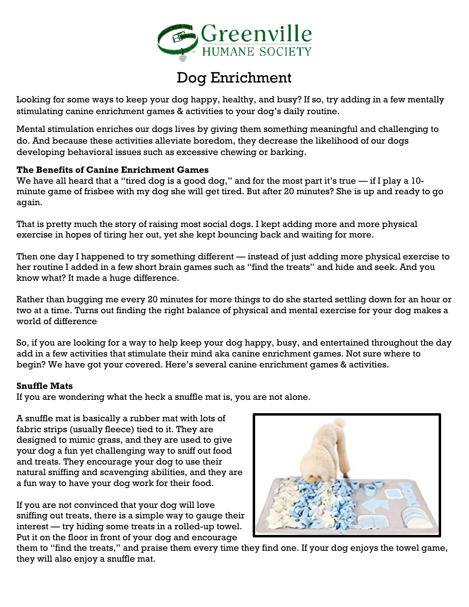

# Dog Enrichment

Looking for some ways to keep your dog happy, healthy, and busy? If so, try adding in a few mentally stimulating canine enrichment games & activities to your dog's daily routine.

Mental stimulation enriches our dogs lives by giving them something meaningful and challenging to do. And because these activities alleviate boredom, they decrease the likelihood of our dogs developing behavioral issues such as excessive chewing or barking.

#### **The Benefits of Canine Enrichment Games**

We have all heard that a "tired dog is a good dog," and for the most part it's true — if I play a 10minute game of frisbee with my dog she will get tired. But after 20 minutes? She is up and ready to go again.

That is pretty much the story of raising most social dogs. I kept adding more and more physical exercise in hopes of tiring her out, yet she kept bouncing back and waiting for more.

Then one day I happened to try something different — instead of just adding more physical exercise to her routine I added in a few short brain games such as "find the treats" and hide and seek. And you know what? It made a huge difference.

Rather than bugging me every 20 minutes for more things to do she started settling down for an hour or two at a time. Turns out finding the right balance of physical and mental exercise for your dog makes a world of difference

So, if you are looking for a way to help keep your dog happy, busy, and entertained throughout the day add in a few activities that stimulate their mind aka canine enrichment games. Not sure where to begin? We have got your covered. Here's several canine enrichment games & activities.

#### **Snuffle Mats**

If you are wondering what the heck a snuffle mat is, you are not alone.

A snuffle mat is basically a rubber mat with lots of fabric strips (usually fleece) tied to it. They are designed to mimic grass, and they are used to give your dog a fun yet challenging way to sniff out food and treats. They encourage your dog to use their natural sniffing and scavenging abilities, and they are a fun way to have your dog work for their food.

If you are not convinced that your dog will love sniffing out treats, there is a simple way to gauge their interest — try hiding some treats in a rolled-up towel. Put it on the floor in front of your dog and encourage



them to "find the treats," and praise them every time they find one. If your dog enjoys the towel game, they will also enjoy a snuffle mat.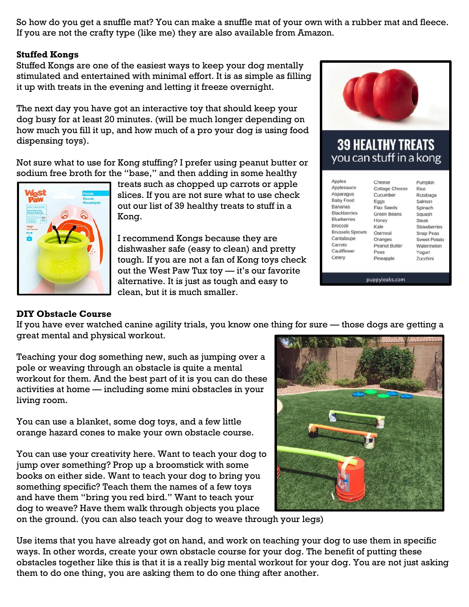So how do you get a snuffle mat? You can make a snuffle mat of your own with a rubber mat and fleece. If you are not the crafty type (like me) they are also available from Amazon.

#### **Stuffed Kongs**

Stuffed Kongs are one of the easiest ways to keep your dog mentally stimulated and entertained with minimal effort. It is as simple as filling it up with treats in the evening and letting it freeze overnight.

The next day you have got an interactive toy that should keep your dog busy for at least 20 minutes. (will be much longer depending on how much you fill it up, and how much of a pro your dog is using food dispensing toys).

Not sure what to use for Kong stuffing? I prefer using peanut butter or sodium free broth for the "base," and then adding in some healthy



treats such as chopped up carrots or apple slices. If you are not sure what to use check out our list of 39 healthy treats to stuff in a Kong.

I recommend Kongs because they are dishwasher safe (easy to clean) and pretty tough. If you are not a fan of Kong toys check out the West Paw Tux toy — it's our favorite alternative. It is just as tough and easy to clean, but it is much smaller.



# **39 HEALTHY TREATS** you can stuff in a kong

| Apples                  | Cheese                | Pumpkin          |
|-------------------------|-----------------------|------------------|
| Applesauce              | <b>Cottage Cheese</b> | Rice             |
| Asparagus               | Cucumber              | Rutabaga         |
| <b>Baby Food</b>        | Eggs                  | Salmon           |
| Bananas                 | Flax Seeds            | Spinach          |
| <b>Blackberries</b>     | <b>Green Beans</b>    | Squash           |
| <b>Blueberries</b>      | Honey                 | Steak            |
| Broccoli                | Kale                  | Strawberries     |
| <b>Brussels Sprouts</b> | Oatmeal               | <b>Snap Peas</b> |
| Cantaloupe              | Oranges               | Sweet Potato     |
| Carrots                 | Peanut Butter         | Watermelon       |
| Cauliflower             | Peas                  | Yogurt           |
| Celery                  | Pineapple             | Zucchini         |

puppyleaks.com

# **DIY Obstacle Course**

If you have ever watched canine agility trials, you know one thing for sure — those dogs are getting a great mental and physical workout.

Teaching your dog something new, such as jumping over a pole or weaving through an obstacle is quite a mental workout for them. And the best part of it is you can do these activities at home — including some mini obstacles in your living room.

You can use a blanket, some dog toys, and a few little orange hazard cones to make your own obstacle course.

You can use your creativity here. Want to teach your dog to jump over something? Prop up a broomstick with some books on either side. Want to teach your dog to bring you something specific? Teach them the names of a few toys and have them "bring you red bird." Want to teach your dog to weave? Have them walk through objects you place



on the ground. (you can also teach your dog to weave through your legs)

Use items that you have already got on hand, and work on teaching your dog to use them in specific ways. In other words, create your own obstacle course for your dog. The benefit of putting these obstacles together like this is that it is a really big mental workout for your dog. You are not just asking them to do one thing, you are asking them to do one thing after another.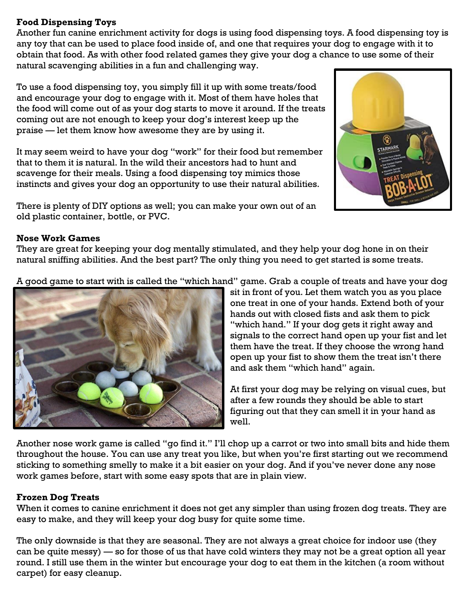#### **Food Dispensing Toys**

Another fun canine enrichment activity for dogs is using food dispensing toys. A food dispensing toy is any toy that can be used to place food inside of, and one that requires your dog to engage with it to obtain that food. As with other food related games they give your dog a chance to use some of their natural scavenging abilities in a fun and challenging way.

To use a food dispensing toy, you simply fill it up with some treats/food and encourage your dog to engage with it. Most of them have holes that the food will come out of as your dog starts to move it around. If the treats coming out are not enough to keep your dog's interest keep up the praise — let them know how awesome they are by using it.

It may seem weird to have your dog "work" for their food but remember that to them it is natural. In the wild their ancestors had to hunt and scavenge for their meals. Using a food dispensing toy mimics those instincts and gives your dog an opportunity to use their natural abilities.

There is plenty of DIY options as well; you can make your own out of an old plastic container, bottle, or PVC.



#### **Nose Work Games**

They are great for keeping your dog mentally stimulated, and they help your dog hone in on their natural sniffing abilities. And the best part? The only thing you need to get started is some treats.

A good game to start with is called the "which hand" game. Grab a couple of treats and have your dog



sit in front of you. Let them watch you as you place one treat in one of your hands. Extend both of your hands out with closed fists and ask them to pick "which hand." If your dog gets it right away and signals to the correct hand open up your fist and let them have the treat. If they choose the wrong hand open up your fist to show them the treat isn't there and ask them "which hand" again.

At first your dog may be relying on visual cues, but after a few rounds they should be able to start figuring out that they can smell it in your hand as well.

Another nose work game is called "go find it." I'll chop up a carrot or two into small bits and hide them throughout the house. You can use any treat you like, but when you're first starting out we recommend sticking to something smelly to make it a bit easier on your dog. And if you've never done any nose work games before, start with some easy spots that are in plain view.

#### **Frozen Dog Treats**

When it comes to canine enrichment it does not get any simpler than using frozen dog treats. They are easy to make, and they will keep your dog busy for quite some time.

The only downside is that they are seasonal. They are not always a great choice for indoor use (they can be quite messy) — so for those of us that have cold winters they may not be a great option all year round. I still use them in the winter but encourage your dog to eat them in the kitchen (a room without carpet) for easy cleanup.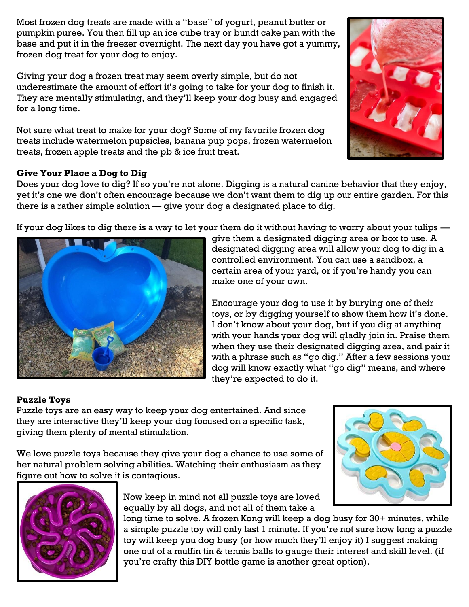Most frozen dog treats are made with a "base" of yogurt, peanut butter or pumpkin puree. You then fill up an ice cube tray or bundt cake pan with the base and put it in the freezer overnight. The next day you have got a yummy, frozen dog treat for your dog to enjoy.

Giving your dog a frozen treat may seem overly simple, but do not underestimate the amount of effort it's going to take for your dog to finish it. They are mentally stimulating, and they'll keep your dog busy and engaged for a long time.

Not sure what treat to make for your dog? Some of my favorite frozen dog treats include watermelon pupsicles, banana pup pops, frozen watermelon treats, frozen apple treats and the pb & ice fruit treat.



### **Give Your Place a Dog to Dig**

Does your dog love to dig? If so you're not alone. Digging is a natural canine behavior that they enjoy, yet it's one we don't often encourage because we don't want them to dig up our entire garden. For this there is a rather simple solution — give your dog a designated place to dig.

If your dog likes to dig there is a way to let your them do it without having to worry about your tulips —



give them a designated digging area or box to use. A designated digging area will allow your dog to dig in a controlled environment. You can use a sandbox, a certain area of your yard, or if you're handy you can make one of your own.

Encourage your dog to use it by burying one of their toys, or by digging yourself to show them how it's done. I don't know about your dog, but if you dig at anything with your hands your dog will gladly join in. Praise them when they use their designated digging area, and pair it with a phrase such as "go dig." After a few sessions your dog will know exactly what "go dig" means, and where they're expected to do it.

# **Puzzle Toys**

Puzzle toys are an easy way to keep your dog entertained. And since they are interactive they'll keep your dog focused on a specific task, giving them plenty of mental stimulation.

We love puzzle toys because they give your dog a chance to use some of her natural problem solving abilities. Watching their enthusiasm as they figure out how to solve it is contagious.





Now keep in mind not all puzzle toys are loved equally by all dogs, and not all of them take a

long time to solve. A frozen Kong will keep a dog busy for 30+ minutes, while a simple puzzle toy will only last 1 minute. If you're not sure how long a puzzle toy will keep you dog busy (or how much they'll enjoy it) I suggest making one out of a muffin tin & tennis balls to gauge their interest and skill level. (if you're crafty this DIY bottle game is another great option).